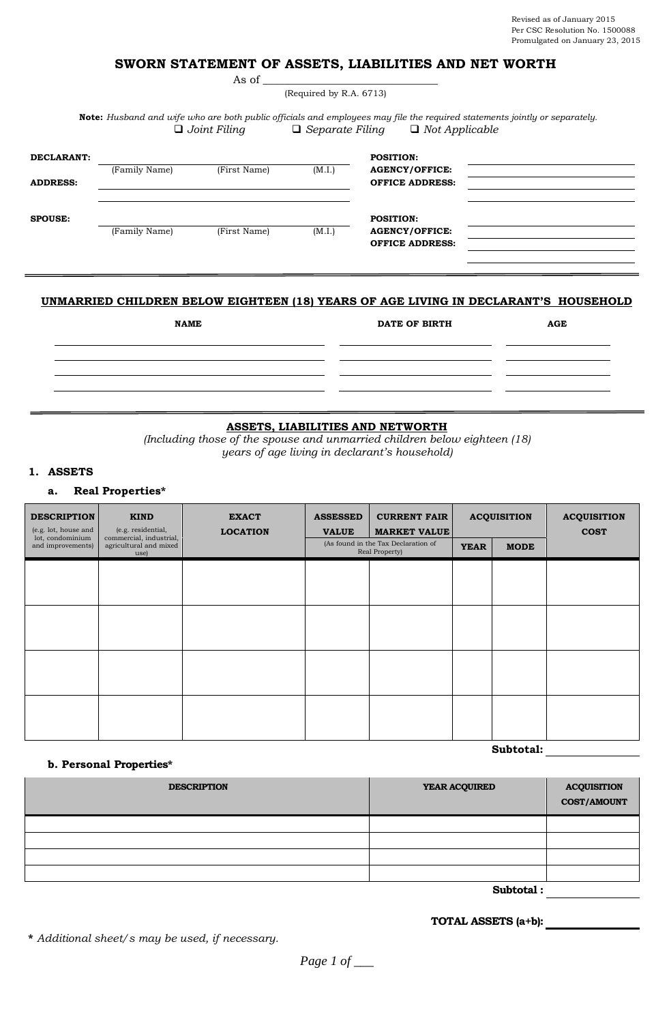# **SWORN STATEMENT OF ASSETS, LIABILITIES AND NET WORTH**

(Required by R.A. 6713)

As of  $\_$ 

**Note:** *Husband and wife who are both public officials and employees may file the required statements jointly or separately. Joint Filing Separate Filing Not Applicable*

| DECLARANT:      | (Family Name) | (First Name) | (M.I.) | <b>POSITION:</b><br><b>AGENCY/OFFICE:</b> |  |
|-----------------|---------------|--------------|--------|-------------------------------------------|--|
| <b>ADDRESS:</b> |               |              |        | <b>OFFICE ADDRESS:</b>                    |  |
|                 |               |              |        | <b>POSITION:</b>                          |  |
| <b>SPOUSE:</b>  |               |              |        |                                           |  |

## **UNMARRIED CHILDREN BELOW EIGHTEEN (18) YEARS OF AGE LIVING IN DECLARANT'S HOUSEHOLD**

| <b>NAME</b> | <b>DATE OF BIRTH</b> | AGE |  |
|-------------|----------------------|-----|--|
|             |                      |     |  |
|             |                      |     |  |
|             |                      |     |  |

## **ASSETS, LIABILITIES AND NETWORTH**

*(Including those of the spouse and unmarried children below eighteen (18) years of age living in declarant's household)*

## **1. ASSETS**

## **a. Real Properties\***

| <b>DESCRIPTION</b><br>(e.g. lot, house and | <b>KIND</b><br>(e.g. residential,                         | <b>EXACT</b><br><b>LOCATION</b> | <b>ASSESSED</b><br><b>VALUE</b>                       | <b>CURRENT FAIR</b><br><b>MARKET VALUE</b> | <b>ACQUISITION</b>         |  | <b>ACQUISITION</b><br><b>COST</b> |  |
|--------------------------------------------|-----------------------------------------------------------|---------------------------------|-------------------------------------------------------|--------------------------------------------|----------------------------|--|-----------------------------------|--|
| lot, condominium<br>and improvements)      | commercial, industrial,<br>agricultural and mixed<br>use) |                                 | (As found in the Tax Declaration of<br>Real Property) |                                            | <b>MODE</b><br><b>YEAR</b> |  |                                   |  |
|                                            |                                                           |                                 |                                                       |                                            |                            |  |                                   |  |
|                                            |                                                           |                                 |                                                       |                                            |                            |  |                                   |  |
|                                            |                                                           |                                 |                                                       |                                            |                            |  |                                   |  |
|                                            |                                                           |                                 |                                                       |                                            |                            |  |                                   |  |
|                                            |                                                           |                                 |                                                       |                                            |                            |  |                                   |  |
|                                            |                                                           |                                 |                                                       |                                            |                            |  |                                   |  |
|                                            |                                                           |                                 |                                                       |                                            |                            |  |                                   |  |
|                                            |                                                           |                                 |                                                       |                                            |                            |  |                                   |  |

#### **b. Personal Properties\***

| <b>DESCRIPTION</b> | YEAR ACQUIRED | <b>ACQUISITION</b><br>COST/AMOUNT |
|--------------------|---------------|-----------------------------------|
|                    |               |                                   |
|                    |               |                                   |
|                    |               |                                   |
|                    |               |                                   |

**Subtotal :**

**Subtotal:**

**TOTAL ASSETS (a+b):**

**\*** *Additional sheet/s may be used, if necessary.*